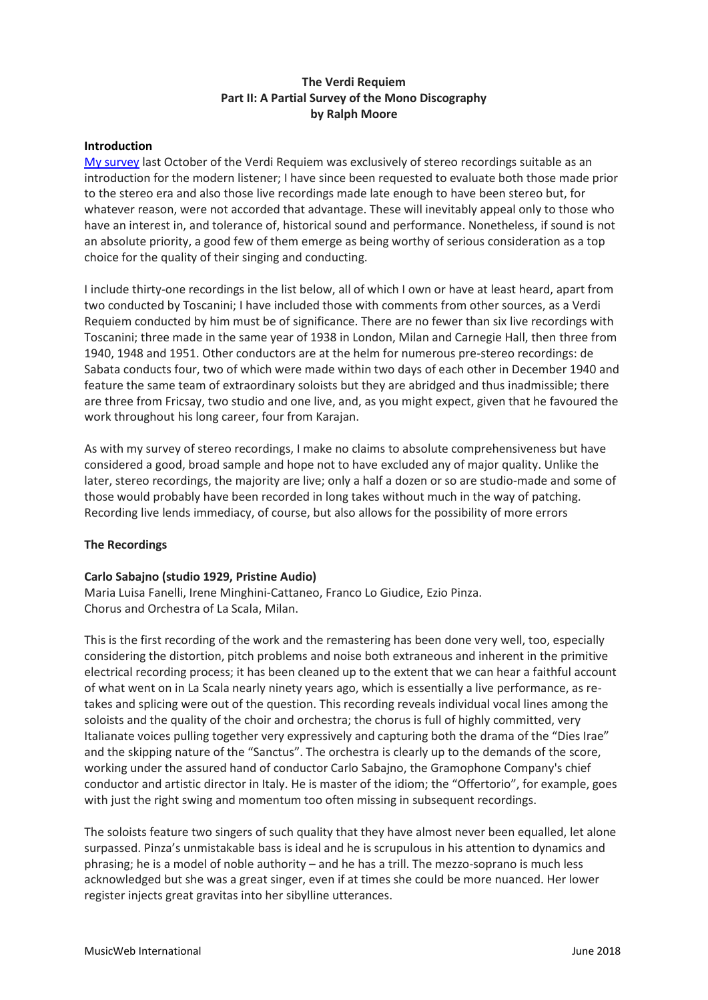# **The Verdi Requiem Part II: A Partial Survey of the Mono Discography by Ralph Moore**

#### **Introduction**

[My survey](http://www.musicweb-international.com/classrev/2017/Oct/Verdi_requiem_survey.pdf) last October of the Verdi Requiem was exclusively of stereo recordings suitable as an introduction for the modern listener; I have since been requested to evaluate both those made prior to the stereo era and also those live recordings made late enough to have been stereo but, for whatever reason, were not accorded that advantage. These will inevitably appeal only to those who have an interest in, and tolerance of, historical sound and performance. Nonetheless, if sound is not an absolute priority, a good few of them emerge as being worthy of serious consideration as a top choice for the quality of their singing and conducting.

I include thirty-one recordings in the list below, all of which I own or have at least heard, apart from two conducted by Toscanini; I have included those with comments from other sources, as a Verdi Requiem conducted by him must be of significance. There are no fewer than six live recordings with Toscanini; three made in the same year of 1938 in London, Milan and Carnegie Hall, then three from 1940, 1948 and 1951. Other conductors are at the helm for numerous pre-stereo recordings: de Sabata conducts four, two of which were made within two days of each other in December 1940 and feature the same team of extraordinary soloists but they are abridged and thus inadmissible; there are three from Fricsay, two studio and one live, and, as you might expect, given that he favoured the work throughout his long career, four from Karajan.

As with my survey of stereo recordings, I make no claims to absolute comprehensiveness but have considered a good, broad sample and hope not to have excluded any of major quality. Unlike the later, stereo recordings, the majority are live; only a half a dozen or so are studio-made and some of those would probably have been recorded in long takes without much in the way of patching. Recording live lends immediacy, of course, but also allows for the possibility of more errors

## **The Recordings**

## **Carlo Sabajno (studio 1929, Pristine Audio)**

Maria Luisa Fanelli, Irene Minghini-Cattaneo, Franco Lo Giudice, Ezio Pinza. Chorus and Orchestra of La Scala, Milan.

This is the first recording of the work and the remastering has been done very well, too, especially considering the distortion, pitch problems and noise both extraneous and inherent in the primitive electrical recording process; it has been cleaned up to the extent that we can hear a faithful account of what went on in La Scala nearly ninety years ago, which is essentially a live performance, as retakes and splicing were out of the question. This recording reveals individual vocal lines among the soloists and the quality of the choir and orchestra; the chorus is full of highly committed, very Italianate voices pulling together very expressively and capturing both the drama of the "Dies Irae" and the skipping nature of the "Sanctus". The orchestra is clearly up to the demands of the score, working under the assured hand of conductor Carlo Sabajno, the Gramophone Company's chief conductor and artistic director in Italy. He is master of the idiom; the "Offertorio", for example, goes with just the right swing and momentum too often missing in subsequent recordings.

The soloists feature two singers of such quality that they have almost never been equalled, let alone surpassed. Pinza's unmistakable bass is ideal and he is scrupulous in his attention to dynamics and phrasing; he is a model of noble authority – and he has a trill. The mezzo-soprano is much less acknowledged but she was a great singer, even if at times she could be more nuanced. Her lower register injects great gravitas into her sibylline utterances.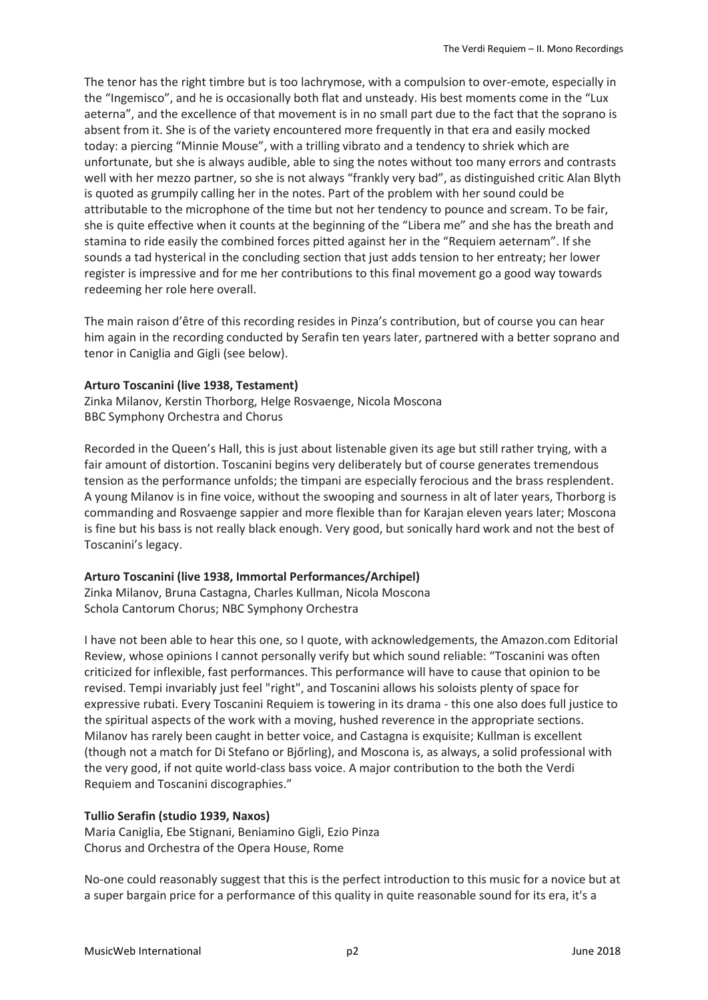The tenor has the right timbre but is too lachrymose, with a compulsion to over-emote, especially in the "Ingemisco", and he is occasionally both flat and unsteady. His best moments come in the "Lux aeterna", and the excellence of that movement is in no small part due to the fact that the soprano is absent from it. She is of the variety encountered more frequently in that era and easily mocked today: a piercing "Minnie Mouse", with a trilling vibrato and a tendency to shriek which are unfortunate, but she is always audible, able to sing the notes without too many errors and contrasts well with her mezzo partner, so she is not always "frankly very bad", as distinguished critic Alan Blyth is quoted as grumpily calling her in the notes. Part of the problem with her sound could be attributable to the microphone of the time but not her tendency to pounce and scream. To be fair, she is quite effective when it counts at the beginning of the "Libera me" and she has the breath and stamina to ride easily the combined forces pitted against her in the "Requiem aeternam". If she sounds a tad hysterical in the concluding section that just adds tension to her entreaty; her lower register is impressive and for me her contributions to this final movement go a good way towards redeeming her role here overall.

The main raison d'être of this recording resides in Pinza's contribution, but of course you can hear him again in the recording conducted by Serafin ten years later, partnered with a better soprano and tenor in Caniglia and Gigli (see below).

## **Arturo Toscanini (live 1938, Testament)**

Zinka Milanov, Kerstin Thorborg, Helge Rosvaenge, Nicola Moscona BBC Symphony Orchestra and Chorus

Recorded in the Queen's Hall, this is just about listenable given its age but still rather trying, with a fair amount of distortion. Toscanini begins very deliberately but of course generates tremendous tension as the performance unfolds; the timpani are especially ferocious and the brass resplendent. A young Milanov is in fine voice, without the swooping and sourness in alt of later years, Thorborg is commanding and Rosvaenge sappier and more flexible than for Karajan eleven years later; Moscona is fine but his bass is not really black enough. Very good, but sonically hard work and not the best of Toscanini's legacy.

## **Arturo Toscanini (live 1938, Immortal Performances/Archipel)**

Zinka Milanov, Bruna Castagna, Charles Kullman, Nicola Moscona Schola Cantorum Chorus; NBC Symphony Orchestra

I have not been able to hear this one, so I quote, with acknowledgements, the Amazon.com Editorial Review, whose opinions I cannot personally verify but which sound reliable: "Toscanini was often criticized for inflexible, fast performances. This performance will have to cause that opinion to be revised. Tempi invariably just feel "right", and Toscanini allows his soloists plenty of space for expressive rubati. Every Toscanini Requiem is towering in its drama - this one also does full justice to the spiritual aspects of the work with a moving, hushed reverence in the appropriate sections. Milanov has rarely been caught in better voice, and Castagna is exquisite; Kullman is excellent (though not a match for Di Stefano or Bjőrling), and Moscona is, as always, a solid professional with the very good, if not quite world-class bass voice. A major contribution to the both the Verdi Requiem and Toscanini discographies."

# **Tullio Serafin (studio 1939, Naxos)**

Maria Caniglia, Ebe Stignani, Beniamino Gigli, Ezio Pinza Chorus and Orchestra of the Opera House, Rome

No-one could reasonably suggest that this is the perfect introduction to this music for a novice but at a super bargain price for a performance of this quality in quite reasonable sound for its era, it's a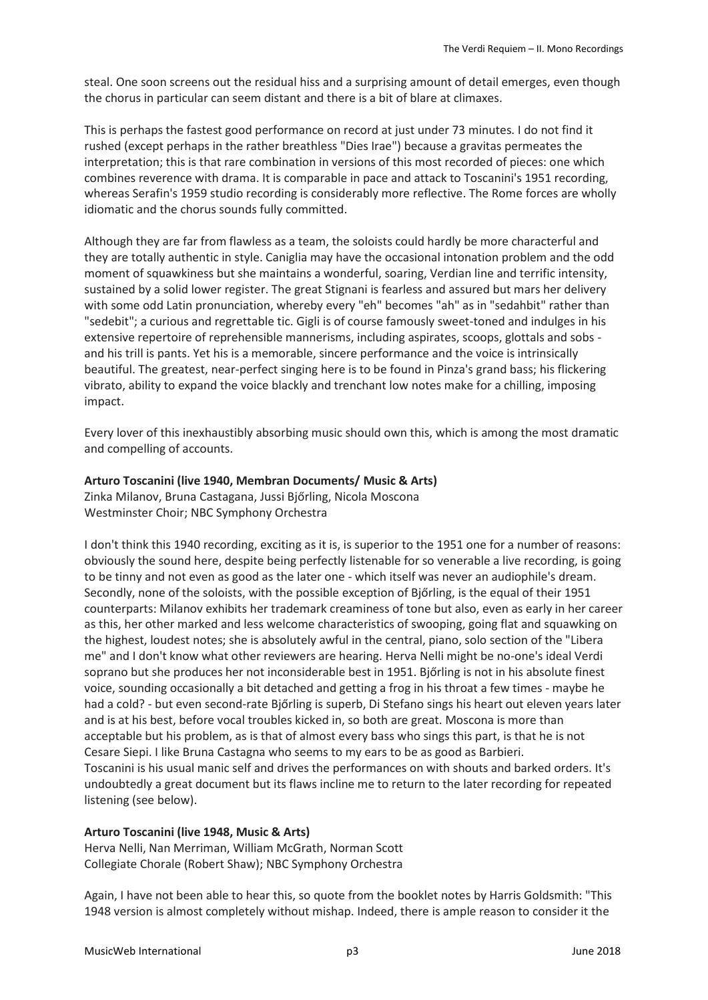steal. One soon screens out the residual hiss and a surprising amount of detail emerges, even though the chorus in particular can seem distant and there is a bit of blare at climaxes.

This is perhaps the fastest good performance on record at just under 73 minutes. I do not find it rushed (except perhaps in the rather breathless "Dies Irae") because a gravitas permeates the interpretation; this is that rare combination in versions of this most recorded of pieces: one which combines reverence with drama. It is comparable in pace and attack to Toscanini's 1951 recording, whereas Serafin's 1959 studio recording is considerably more reflective. The Rome forces are wholly idiomatic and the chorus sounds fully committed.

Although they are far from flawless as a team, the soloists could hardly be more characterful and they are totally authentic in style. Caniglia may have the occasional intonation problem and the odd moment of squawkiness but she maintains a wonderful, soaring, Verdian line and terrific intensity, sustained by a solid lower register. The great Stignani is fearless and assured but mars her delivery with some odd Latin pronunciation, whereby every "eh" becomes "ah" as in "sedahbit" rather than "sedebit"; a curious and regrettable tic. Gigli is of course famously sweet-toned and indulges in his extensive repertoire of reprehensible mannerisms, including aspirates, scoops, glottals and sobs and his trill is pants. Yet his is a memorable, sincere performance and the voice is intrinsically beautiful. The greatest, near-perfect singing here is to be found in Pinza's grand bass; his flickering vibrato, ability to expand the voice blackly and trenchant low notes make for a chilling, imposing impact.

Every lover of this inexhaustibly absorbing music should own this, which is among the most dramatic and compelling of accounts.

## **Arturo Toscanini (live 1940, Membran Documents/ Music & Arts)**

Zinka Milanov, Bruna Castagana, Jussi Bjőrling, Nicola Moscona Westminster Choir; NBC Symphony Orchestra

I don't think this 1940 recording, exciting as it is, is superior to the 1951 one for a number of reasons: obviously the sound here, despite being perfectly listenable for so venerable a live recording, is going to be tinny and not even as good as the later one - which itself was never an audiophile's dream. Secondly, none of the soloists, with the possible exception of Bjőrling, is the equal of their 1951 counterparts: Milanov exhibits her trademark creaminess of tone but also, even as early in her career as this, her other marked and less welcome characteristics of swooping, going flat and squawking on the highest, loudest notes; she is absolutely awful in the central, piano, solo section of the "Libera me" and I don't know what other reviewers are hearing. Herva Nelli might be no-one's ideal Verdi soprano but she produces her not inconsiderable best in 1951. Bjőrling is not in his absolute finest voice, sounding occasionally a bit detached and getting a frog in his throat a few times - maybe he had a cold? - but even second-rate Bjőrling is superb, Di Stefano sings his heart out eleven years later and is at his best, before vocal troubles kicked in, so both are great. Moscona is more than acceptable but his problem, as is that of almost every bass who sings this part, is that he is not Cesare Siepi. I like Bruna Castagna who seems to my ears to be as good as Barbieri. Toscanini is his usual manic self and drives the performances on with shouts and barked orders. It's undoubtedly a great document but its flaws incline me to return to the later recording for repeated listening (see below).

## **Arturo Toscanini (live 1948, Music & Arts)**

Herva Nelli, Nan Merriman, William McGrath, Norman Scott Collegiate Chorale (Robert Shaw); NBC Symphony Orchestra

Again, I have not been able to hear this, so quote from the booklet notes by Harris Goldsmith: "This 1948 version is almost completely without mishap. Indeed, there is ample reason to consider it the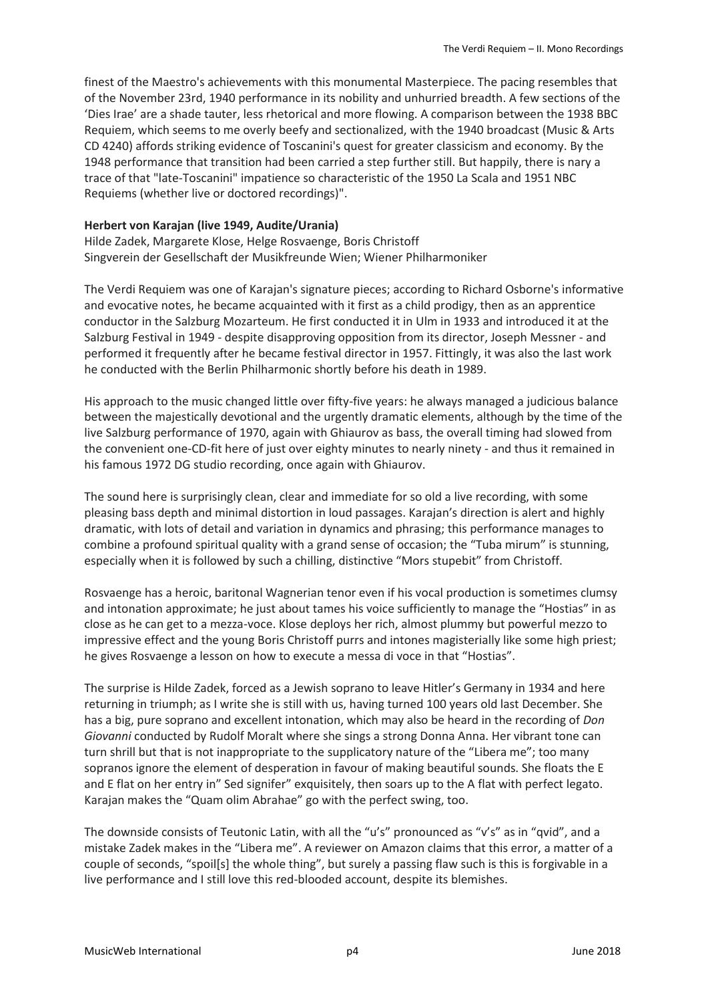finest of the Maestro's achievements with this monumental Masterpiece. The pacing resembles that of the November 23rd, 1940 performance in its nobility and unhurried breadth. A few sections of the 'Dies Irae' are a shade tauter, less rhetorical and more flowing. A comparison between the 1938 BBC Requiem, which seems to me overly beefy and sectionalized, with the 1940 broadcast (Music & Arts CD 4240) affords striking evidence of Toscanini's quest for greater classicism and economy. By the 1948 performance that transition had been carried a step further still. But happily, there is nary a trace of that "late-Toscanini" impatience so characteristic of the 1950 La Scala and 1951 NBC Requiems (whether live or doctored recordings)".

#### **Herbert von Karajan (live 1949, Audite/Urania)**

Hilde Zadek, Margarete Klose, Helge Rosvaenge, Boris Christoff Singverein der Gesellschaft der Musikfreunde Wien; Wiener Philharmoniker

The Verdi Requiem was one of Karajan's signature pieces; according to Richard Osborne's informative and evocative notes, he became acquainted with it first as a child prodigy, then as an apprentice conductor in the Salzburg Mozarteum. He first conducted it in Ulm in 1933 and introduced it at the Salzburg Festival in 1949 - despite disapproving opposition from its director, Joseph Messner - and performed it frequently after he became festival director in 1957. Fittingly, it was also the last work he conducted with the Berlin Philharmonic shortly before his death in 1989.

His approach to the music changed little over fifty-five years: he always managed a judicious balance between the majestically devotional and the urgently dramatic elements, although by the time of the live Salzburg performance of 1970, again with Ghiaurov as bass, the overall timing had slowed from the convenient one-CD-fit here of just over eighty minutes to nearly ninety - and thus it remained in his famous 1972 DG studio recording, once again with Ghiaurov.

The sound here is surprisingly clean, clear and immediate for so old a live recording, with some pleasing bass depth and minimal distortion in loud passages. Karajan's direction is alert and highly dramatic, with lots of detail and variation in dynamics and phrasing; this performance manages to combine a profound spiritual quality with a grand sense of occasion; the "Tuba mirum" is stunning, especially when it is followed by such a chilling, distinctive "Mors stupebit" from Christoff.

Rosvaenge has a heroic, baritonal Wagnerian tenor even if his vocal production is sometimes clumsy and intonation approximate; he just about tames his voice sufficiently to manage the "Hostias" in as close as he can get to a mezza-voce. Klose deploys her rich, almost plummy but powerful mezzo to impressive effect and the young Boris Christoff purrs and intones magisterially like some high priest; he gives Rosvaenge a lesson on how to execute a messa di voce in that "Hostias".

The surprise is Hilde Zadek, forced as a Jewish soprano to leave Hitler's Germany in 1934 and here returning in triumph; as I write she is still with us, having turned 100 years old last December. She has a big, pure soprano and excellent intonation, which may also be heard in the recording of *Don Giovanni* conducted by Rudolf Moralt where she sings a strong Donna Anna. Her vibrant tone can turn shrill but that is not inappropriate to the supplicatory nature of the "Libera me"; too many sopranos ignore the element of desperation in favour of making beautiful sounds. She floats the E and E flat on her entry in" Sed signifer" exquisitely, then soars up to the A flat with perfect legato. Karajan makes the "Quam olim Abrahae" go with the perfect swing, too.

The downside consists of Teutonic Latin, with all the "u's" pronounced as "v's" as in "qvid", and a mistake Zadek makes in the "Libera me". A reviewer on Amazon claims that this error, a matter of a couple of seconds, "spoil[s] the whole thing", but surely a passing flaw such is this is forgivable in a live performance and I still love this red-blooded account, despite its blemishes.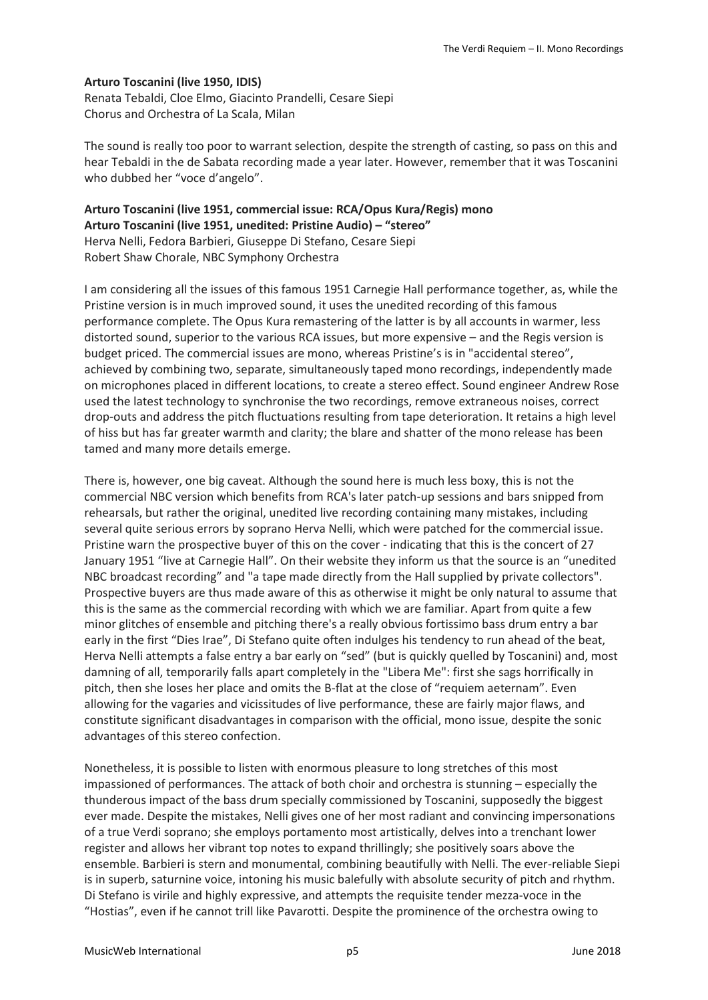#### **Arturo Toscanini (live 1950, IDIS)**

Renata Tebaldi, Cloe Elmo, Giacinto Prandelli, Cesare Siepi Chorus and Orchestra of La Scala, Milan

The sound is really too poor to warrant selection, despite the strength of casting, so pass on this and hear Tebaldi in the de Sabata recording made a year later. However, remember that it was Toscanini who dubbed her "voce d'angelo".

**Arturo Toscanini (live 1951, commercial issue: RCA/Opus Kura/Regis) mono Arturo Toscanini (live 1951, unedited: Pristine Audio) – "stereo"** Herva Nelli, Fedora Barbieri, Giuseppe Di Stefano, Cesare Siepi Robert Shaw Chorale, NBC Symphony Orchestra

I am considering all the issues of this famous 1951 Carnegie Hall performance together, as, while the Pristine version is in much improved sound, it uses the unedited recording of this famous performance complete. The Opus Kura remastering of the latter is by all accounts in warmer, less distorted sound, superior to the various RCA issues, but more expensive – and the Regis version is budget priced. The commercial issues are mono, whereas Pristine's is in "accidental stereo", achieved by combining two, separate, simultaneously taped mono recordings, independently made on microphones placed in different locations, to create a stereo effect. Sound engineer Andrew Rose used the latest technology to synchronise the two recordings, remove extraneous noises, correct drop-outs and address the pitch fluctuations resulting from tape deterioration. It retains a high level of hiss but has far greater warmth and clarity; the blare and shatter of the mono release has been tamed and many more details emerge.

There is, however, one big caveat. Although the sound here is much less boxy, this is not the commercial NBC version which benefits from RCA's later patch-up sessions and bars snipped from rehearsals, but rather the original, unedited live recording containing many mistakes, including several quite serious errors by soprano Herva Nelli, which were patched for the commercial issue. Pristine warn the prospective buyer of this on the cover - indicating that this is the concert of 27 January 1951 "live at Carnegie Hall". On their website they inform us that the source is an "unedited NBC broadcast recording" and "a tape made directly from the Hall supplied by private collectors". Prospective buyers are thus made aware of this as otherwise it might be only natural to assume that this is the same as the commercial recording with which we are familiar. Apart from quite a few minor glitches of ensemble and pitching there's a really obvious fortissimo bass drum entry a bar early in the first "Dies Irae", Di Stefano quite often indulges his tendency to run ahead of the beat, Herva Nelli attempts a false entry a bar early on "sed" (but is quickly quelled by Toscanini) and, most damning of all, temporarily falls apart completely in the "Libera Me": first she sags horrifically in pitch, then she loses her place and omits the B-flat at the close of "requiem aeternam". Even allowing for the vagaries and vicissitudes of live performance, these are fairly major flaws, and constitute significant disadvantages in comparison with the official, mono issue, despite the sonic advantages of this stereo confection.

Nonetheless, it is possible to listen with enormous pleasure to long stretches of this most impassioned of performances. The attack of both choir and orchestra is stunning – especially the thunderous impact of the bass drum specially commissioned by Toscanini, supposedly the biggest ever made. Despite the mistakes, Nelli gives one of her most radiant and convincing impersonations of a true Verdi soprano; she employs portamento most artistically, delves into a trenchant lower register and allows her vibrant top notes to expand thrillingly; she positively soars above the ensemble. Barbieri is stern and monumental, combining beautifully with Nelli. The ever-reliable Siepi is in superb, saturnine voice, intoning his music balefully with absolute security of pitch and rhythm. Di Stefano is virile and highly expressive, and attempts the requisite tender mezza-voce in the "Hostias", even if he cannot trill like Pavarotti. Despite the prominence of the orchestra owing to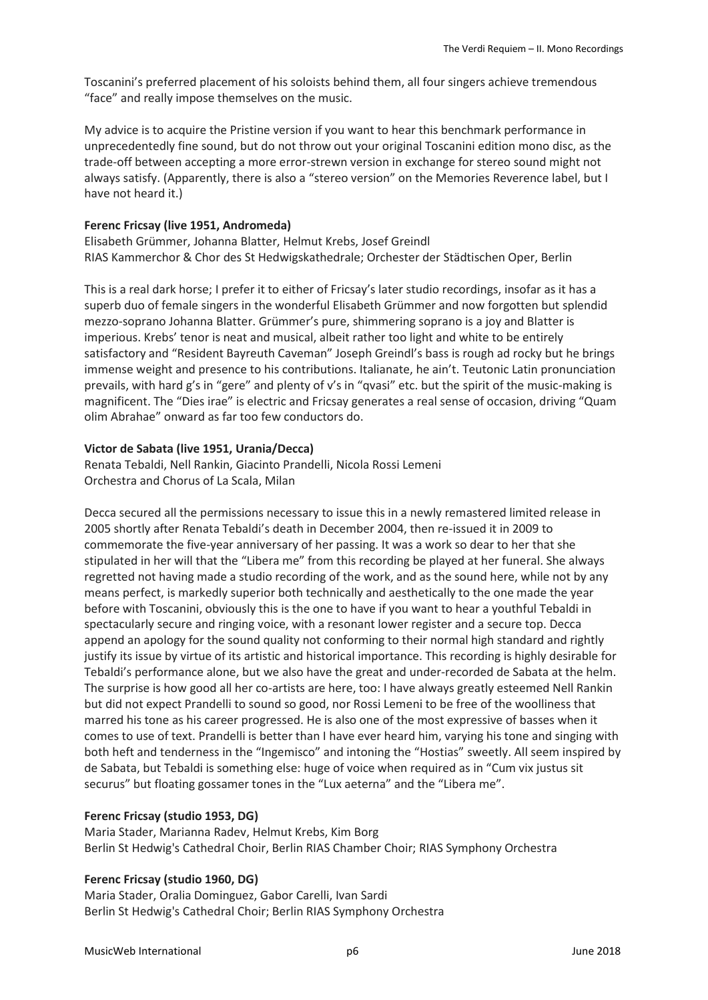Toscanini's preferred placement of his soloists behind them, all four singers achieve tremendous "face" and really impose themselves on the music.

My advice is to acquire the Pristine version if you want to hear this benchmark performance in unprecedentedly fine sound, but do not throw out your original Toscanini edition mono disc, as the trade-off between accepting a more error-strewn version in exchange for stereo sound might not always satisfy. (Apparently, there is also a "stereo version" on the Memories Reverence label, but I have not heard it.)

#### **Ferenc Fricsay (live 1951, Andromeda)**

Elisabeth Grümmer, Johanna Blatter, Helmut Krebs, Josef Greindl RIAS Kammerchor & Chor des St Hedwigskathedrale; Orchester der Städtischen Oper, Berlin

This is a real dark horse; I prefer it to either of Fricsay's later studio recordings, insofar as it has a superb duo of female singers in the wonderful Elisabeth Grümmer and now forgotten but splendid mezzo-soprano Johanna Blatter. Grümmer's pure, shimmering soprano is a joy and Blatter is imperious. Krebs' tenor is neat and musical, albeit rather too light and white to be entirely satisfactory and "Resident Bayreuth Caveman" Joseph Greindl's bass is rough ad rocky but he brings immense weight and presence to his contributions. Italianate, he ain't. Teutonic Latin pronunciation prevails, with hard g's in "gere" and plenty of v's in "qvasi" etc. but the spirit of the music-making is magnificent. The "Dies irae" is electric and Fricsay generates a real sense of occasion, driving "Quam olim Abrahae" onward as far too few conductors do.

## **Victor de Sabata (live 1951, Urania/Decca)**

Renata Tebaldi, Nell Rankin, Giacinto Prandelli, Nicola Rossi Lemeni Orchestra and Chorus of La Scala, Milan

Decca secured all the permissions necessary to issue this in a newly remastered limited release in 2005 shortly after Renata Tebaldi's death in December 2004, then re-issued it in 2009 to commemorate the five-year anniversary of her passing. It was a work so dear to her that she stipulated in her will that the "Libera me" from this recording be played at her funeral. She always regretted not having made a studio recording of the work, and as the sound here, while not by any means perfect, is markedly superior both technically and aesthetically to the one made the year before with Toscanini, obviously this is the one to have if you want to hear a youthful Tebaldi in spectacularly secure and ringing voice, with a resonant lower register and a secure top. Decca append an apology for the sound quality not conforming to their normal high standard and rightly justify its issue by virtue of its artistic and historical importance. This recording is highly desirable for Tebaldi's performance alone, but we also have the great and under-recorded de Sabata at the helm. The surprise is how good all her co-artists are here, too: I have always greatly esteemed Nell Rankin but did not expect Prandelli to sound so good, nor Rossi Lemeni to be free of the woolliness that marred his tone as his career progressed. He is also one of the most expressive of basses when it comes to use of text. Prandelli is better than I have ever heard him, varying his tone and singing with both heft and tenderness in the "Ingemisco" and intoning the "Hostias" sweetly. All seem inspired by de Sabata, but Tebaldi is something else: huge of voice when required as in "Cum vix justus sit securus" but floating gossamer tones in the "Lux aeterna" and the "Libera me".

#### **Ferenc Fricsay (studio 1953, DG)**

Maria Stader, Marianna Radev, Helmut Krebs, Kim Borg Berlin St Hedwig's Cathedral Choir, Berlin RIAS Chamber Choir; RIAS Symphony Orchestra

#### **Ferenc Fricsay (studio 1960, DG)**

Maria Stader, Oralia Dominguez, Gabor Carelli, Ivan Sardi Berlin St Hedwig's Cathedral Choir; Berlin RIAS Symphony Orchestra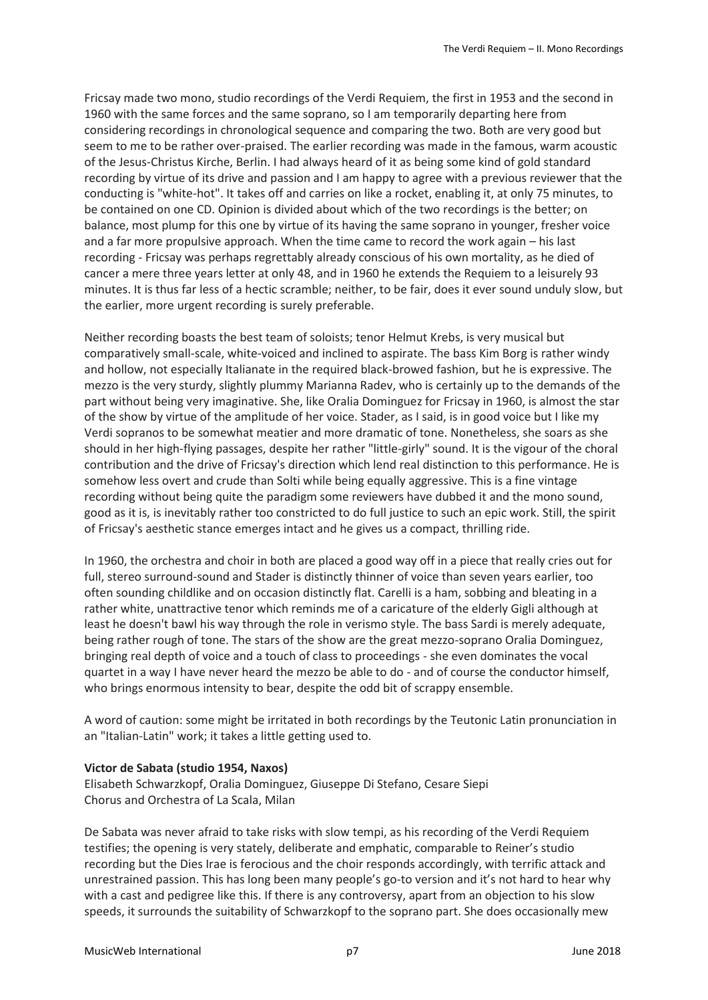Fricsay made two mono, studio recordings of the Verdi Requiem, the first in 1953 and the second in 1960 with the same forces and the same soprano, so I am temporarily departing here from considering recordings in chronological sequence and comparing the two. Both are very good but seem to me to be rather over-praised. The earlier recording was made in the famous, warm acoustic of the Jesus-Christus Kirche, Berlin. I had always heard of it as being some kind of gold standard recording by virtue of its drive and passion and I am happy to agree with a previous reviewer that the conducting is "white-hot". It takes off and carries on like a rocket, enabling it, at only 75 minutes, to be contained on one CD. Opinion is divided about which of the two recordings is the better; on balance, most plump for this one by virtue of its having the same soprano in younger, fresher voice and a far more propulsive approach. When the time came to record the work again – his last recording - Fricsay was perhaps regrettably already conscious of his own mortality, as he died of cancer a mere three years letter at only 48, and in 1960 he extends the Requiem to a leisurely 93 minutes. It is thus far less of a hectic scramble; neither, to be fair, does it ever sound unduly slow, but the earlier, more urgent recording is surely preferable.

Neither recording boasts the best team of soloists; tenor Helmut Krebs, is very musical but comparatively small-scale, white-voiced and inclined to aspirate. The bass Kim Borg is rather windy and hollow, not especially Italianate in the required black-browed fashion, but he is expressive. The mezzo is the very sturdy, slightly plummy Marianna Radev, who is certainly up to the demands of the part without being very imaginative. She, like Oralia Dominguez for Fricsay in 1960, is almost the star of the show by virtue of the amplitude of her voice. Stader, as I said, is in good voice but I like my Verdi sopranos to be somewhat meatier and more dramatic of tone. Nonetheless, she soars as she should in her high-flying passages, despite her rather "little-girly" sound. It is the vigour of the choral contribution and the drive of Fricsay's direction which lend real distinction to this performance. He is somehow less overt and crude than Solti while being equally aggressive. This is a fine vintage recording without being quite the paradigm some reviewers have dubbed it and the mono sound, good as it is, is inevitably rather too constricted to do full justice to such an epic work. Still, the spirit of Fricsay's aesthetic stance emerges intact and he gives us a compact, thrilling ride.

In 1960, the orchestra and choir in both are placed a good way off in a piece that really cries out for full, stereo surround-sound and Stader is distinctly thinner of voice than seven years earlier, too often sounding childlike and on occasion distinctly flat. Carelli is a ham, sobbing and bleating in a rather white, unattractive tenor which reminds me of a caricature of the elderly Gigli although at least he doesn't bawl his way through the role in verismo style. The bass Sardi is merely adequate, being rather rough of tone. The stars of the show are the great mezzo-soprano Oralia Dominguez, bringing real depth of voice and a touch of class to proceedings - she even dominates the vocal quartet in a way I have never heard the mezzo be able to do - and of course the conductor himself, who brings enormous intensity to bear, despite the odd bit of scrappy ensemble.

A word of caution: some might be irritated in both recordings by the Teutonic Latin pronunciation in an "Italian-Latin" work; it takes a little getting used to.

# **Victor de Sabata (studio 1954, Naxos)**

Elisabeth Schwarzkopf, Oralia Dominguez, Giuseppe Di Stefano, Cesare Siepi Chorus and Orchestra of La Scala, Milan

De Sabata was never afraid to take risks with slow tempi, as his recording of the Verdi Requiem testifies; the opening is very stately, deliberate and emphatic, comparable to Reiner's studio recording but the Dies Irae is ferocious and the choir responds accordingly, with terrific attack and unrestrained passion. This has long been many people's go-to version and it's not hard to hear why with a cast and pedigree like this. If there is any controversy, apart from an objection to his slow speeds, it surrounds the suitability of Schwarzkopf to the soprano part. She does occasionally mew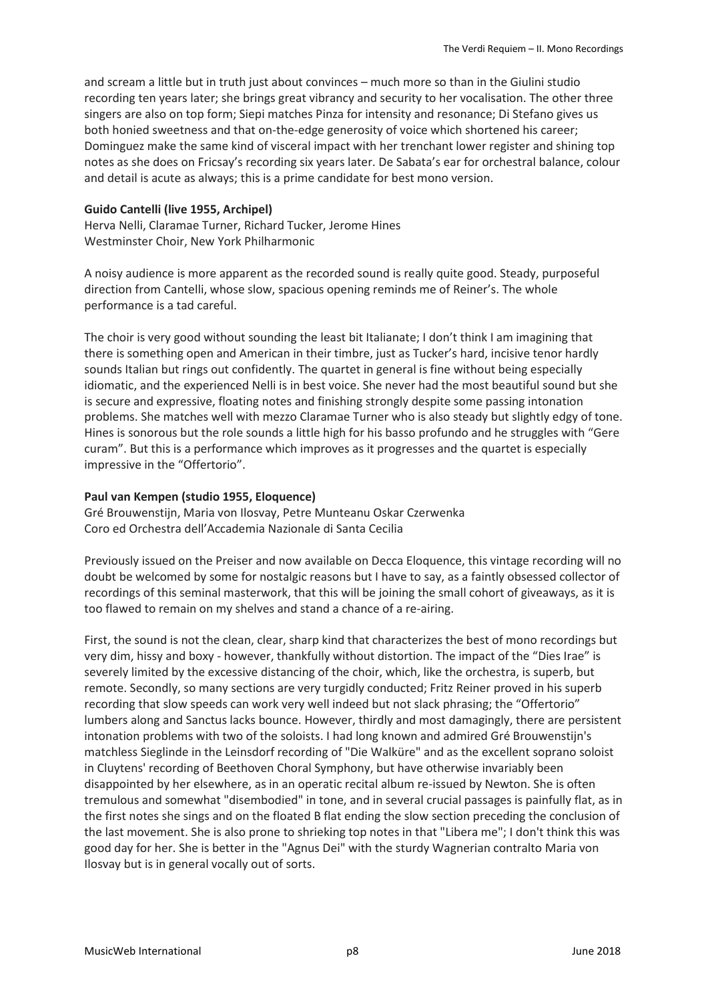and scream a little but in truth just about convinces – much more so than in the Giulini studio recording ten years later; she brings great vibrancy and security to her vocalisation. The other three singers are also on top form; Siepi matches Pinza for intensity and resonance; Di Stefano gives us both honied sweetness and that on-the-edge generosity of voice which shortened his career; Dominguez make the same kind of visceral impact with her trenchant lower register and shining top notes as she does on Fricsay's recording six years later. De Sabata's ear for orchestral balance, colour and detail is acute as always; this is a prime candidate for best mono version.

#### **Guido Cantelli (live 1955, Archipel)**

Herva Nelli, Claramae Turner, Richard Tucker, Jerome Hines Westminster Choir, New York Philharmonic

A noisy audience is more apparent as the recorded sound is really quite good. Steady, purposeful direction from Cantelli, whose slow, spacious opening reminds me of Reiner's. The whole performance is a tad careful.

The choir is very good without sounding the least bit Italianate; I don't think I am imagining that there is something open and American in their timbre, just as Tucker's hard, incisive tenor hardly sounds Italian but rings out confidently. The quartet in general is fine without being especially idiomatic, and the experienced Nelli is in best voice. She never had the most beautiful sound but she is secure and expressive, floating notes and finishing strongly despite some passing intonation problems. She matches well with mezzo Claramae Turner who is also steady but slightly edgy of tone. Hines is sonorous but the role sounds a little high for his basso profundo and he struggles with "Gere curam". But this is a performance which improves as it progresses and the quartet is especially impressive in the "Offertorio".

#### **Paul van Kempen (studio 1955, Eloquence)**

Gré Brouwenstijn, Maria von Ilosvay, Petre Munteanu Oskar Czerwenka Coro ed Orchestra dell'Accademia Nazionale di Santa Cecilia

Previously issued on the Preiser and now available on Decca Eloquence, this vintage recording will no doubt be welcomed by some for nostalgic reasons but I have to say, as a faintly obsessed collector of recordings of this seminal masterwork, that this will be joining the small cohort of giveaways, as it is too flawed to remain on my shelves and stand a chance of a re-airing.

First, the sound is not the clean, clear, sharp kind that characterizes the best of mono recordings but very dim, hissy and boxy - however, thankfully without distortion. The impact of the "Dies Irae" is severely limited by the excessive distancing of the choir, which, like the orchestra, is superb, but remote. Secondly, so many sections are very turgidly conducted; Fritz Reiner proved in his superb recording that slow speeds can work very well indeed but not slack phrasing; the "Offertorio" lumbers along and Sanctus lacks bounce. However, thirdly and most damagingly, there are persistent intonation problems with two of the soloists. I had long known and admired Gré Brouwenstijn's matchless Sieglinde in the Leinsdorf recording of "Die Walküre" and as the excellent soprano soloist in Cluytens' recording of Beethoven Choral Symphony, but have otherwise invariably been disappointed by her elsewhere, as in an operatic recital album re-issued by Newton. She is often tremulous and somewhat "disembodied" in tone, and in several crucial passages is painfully flat, as in the first notes she sings and on the floated B flat ending the slow section preceding the conclusion of the last movement. She is also prone to shrieking top notes in that "Libera me"; I don't think this was good day for her. She is better in the "Agnus Dei" with the sturdy Wagnerian contralto Maria von Ilosvay but is in general vocally out of sorts.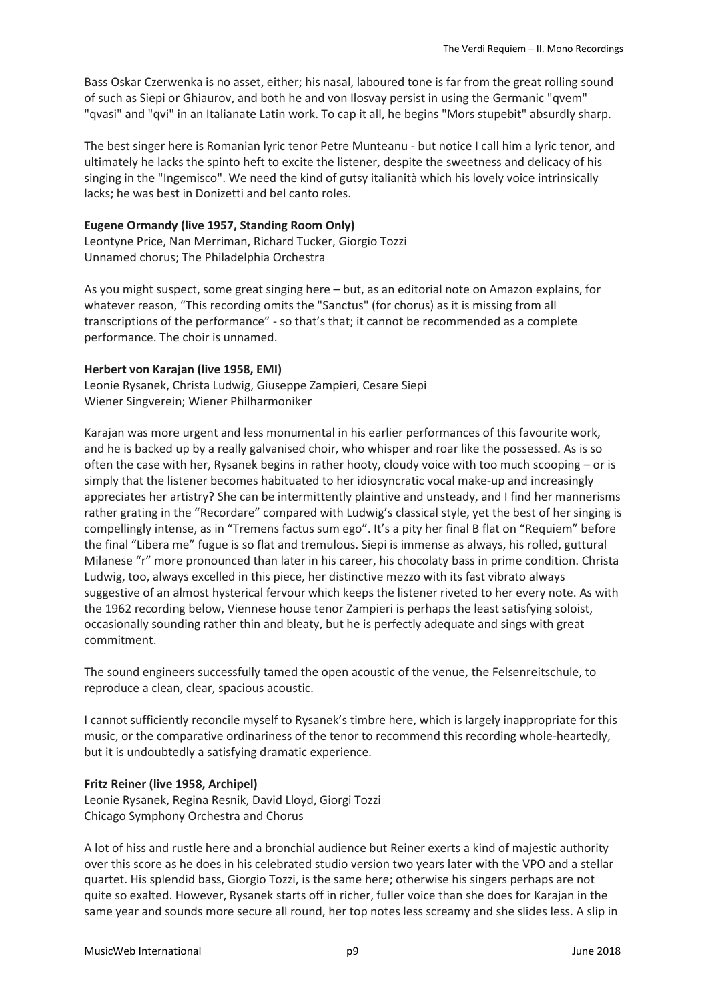Bass Oskar Czerwenka is no asset, either; his nasal, laboured tone is far from the great rolling sound of such as Siepi or Ghiaurov, and both he and von Ilosvay persist in using the Germanic "qvem" "qvasi" and "qvi" in an Italianate Latin work. To cap it all, he begins "Mors stupebit" absurdly sharp.

The best singer here is Romanian lyric tenor Petre Munteanu - but notice I call him a lyric tenor, and ultimately he lacks the spinto heft to excite the listener, despite the sweetness and delicacy of his singing in the "Ingemisco". We need the kind of gutsy italianità which his lovely voice intrinsically lacks; he was best in Donizetti and bel canto roles.

## **Eugene Ormandy (live 1957, Standing Room Only)**

Leontyne Price, Nan Merriman, Richard Tucker, Giorgio Tozzi Unnamed chorus; The Philadelphia Orchestra

As you might suspect, some great singing here – but, as an editorial note on Amazon explains, for whatever reason, "This recording omits the "Sanctus" (for chorus) as it is missing from all transcriptions of the performance" - so that's that; it cannot be recommended as a complete performance. The choir is unnamed.

## **Herbert von Karajan (live 1958, EMI)**

Leonie Rysanek, Christa Ludwig, Giuseppe Zampieri, Cesare Siepi Wiener Singverein; Wiener Philharmoniker

Karajan was more urgent and less monumental in his earlier performances of this favourite work, and he is backed up by a really galvanised choir, who whisper and roar like the possessed. As is so often the case with her, Rysanek begins in rather hooty, cloudy voice with too much scooping – or is simply that the listener becomes habituated to her idiosyncratic vocal make-up and increasingly appreciates her artistry? She can be intermittently plaintive and unsteady, and I find her mannerisms rather grating in the "Recordare" compared with Ludwig's classical style, yet the best of her singing is compellingly intense, as in "Tremens factus sum ego". It's a pity her final B flat on "Requiem" before the final "Libera me" fugue is so flat and tremulous. Siepi is immense as always, his rolled, guttural Milanese "r" more pronounced than later in his career, his chocolaty bass in prime condition. Christa Ludwig, too, always excelled in this piece, her distinctive mezzo with its fast vibrato always suggestive of an almost hysterical fervour which keeps the listener riveted to her every note. As with the 1962 recording below, Viennese house tenor Zampieri is perhaps the least satisfying soloist, occasionally sounding rather thin and bleaty, but he is perfectly adequate and sings with great commitment.

The sound engineers successfully tamed the open acoustic of the venue, the Felsenreitschule, to reproduce a clean, clear, spacious acoustic.

I cannot sufficiently reconcile myself to Rysanek's timbre here, which is largely inappropriate for this music, or the comparative ordinariness of the tenor to recommend this recording whole-heartedly, but it is undoubtedly a satisfying dramatic experience.

## **Fritz Reiner (live 1958, Archipel)**

Leonie Rysanek, Regina Resnik, David Lloyd, Giorgi Tozzi Chicago Symphony Orchestra and Chorus

A lot of hiss and rustle here and a bronchial audience but Reiner exerts a kind of majestic authority over this score as he does in his celebrated studio version two years later with the VPO and a stellar quartet. His splendid bass, Giorgio Tozzi, is the same here; otherwise his singers perhaps are not quite so exalted. However, Rysanek starts off in richer, fuller voice than she does for Karajan in the same year and sounds more secure all round, her top notes less screamy and she slides less. A slip in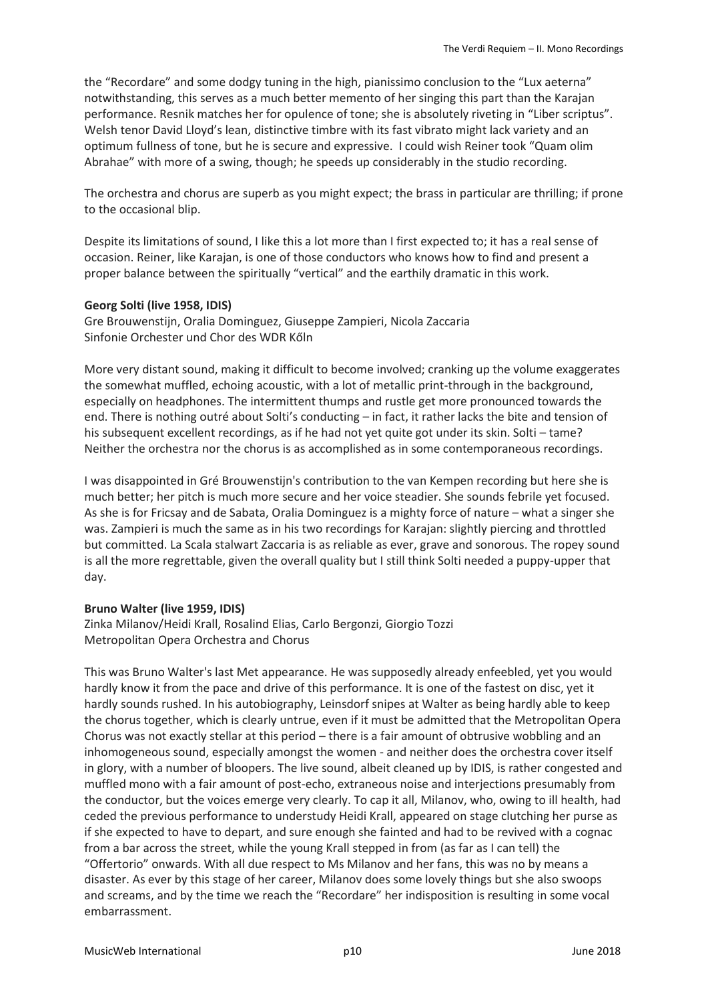the "Recordare" and some dodgy tuning in the high, pianissimo conclusion to the "Lux aeterna" notwithstanding, this serves as a much better memento of her singing this part than the Karajan performance. Resnik matches her for opulence of tone; she is absolutely riveting in "Liber scriptus". Welsh tenor David Lloyd's lean, distinctive timbre with its fast vibrato might lack variety and an optimum fullness of tone, but he is secure and expressive. I could wish Reiner took "Quam olim Abrahae" with more of a swing, though; he speeds up considerably in the studio recording.

The orchestra and chorus are superb as you might expect; the brass in particular are thrilling; if prone to the occasional blip.

Despite its limitations of sound, I like this a lot more than I first expected to; it has a real sense of occasion. Reiner, like Karajan, is one of those conductors who knows how to find and present a proper balance between the spiritually "vertical" and the earthily dramatic in this work.

#### **Georg Solti (live 1958, IDIS)**

Gre Brouwenstijn, Oralia Dominguez, Giuseppe Zampieri, Nicola Zaccaria Sinfonie Orchester und Chor des WDR Kőln

More very distant sound, making it difficult to become involved; cranking up the volume exaggerates the somewhat muffled, echoing acoustic, with a lot of metallic print-through in the background, especially on headphones. The intermittent thumps and rustle get more pronounced towards the end. There is nothing outré about Solti's conducting – in fact, it rather lacks the bite and tension of his subsequent excellent recordings, as if he had not yet quite got under its skin. Solti – tame? Neither the orchestra nor the chorus is as accomplished as in some contemporaneous recordings.

I was disappointed in Gré Brouwenstijn's contribution to the van Kempen recording but here she is much better; her pitch is much more secure and her voice steadier. She sounds febrile yet focused. As she is for Fricsay and de Sabata, Oralia Dominguez is a mighty force of nature – what a singer she was. Zampieri is much the same as in his two recordings for Karajan: slightly piercing and throttled but committed. La Scala stalwart Zaccaria is as reliable as ever, grave and sonorous. The ropey sound is all the more regrettable, given the overall quality but I still think Solti needed a puppy-upper that day.

## **Bruno Walter (live 1959, IDIS)**

Zinka Milanov/Heidi Krall, Rosalind Elias, Carlo Bergonzi, Giorgio Tozzi Metropolitan Opera Orchestra and Chorus

This was Bruno Walter's last Met appearance. He was supposedly already enfeebled, yet you would hardly know it from the pace and drive of this performance. It is one of the fastest on disc, yet it hardly sounds rushed. In his autobiography, Leinsdorf snipes at Walter as being hardly able to keep the chorus together, which is clearly untrue, even if it must be admitted that the Metropolitan Opera Chorus was not exactly stellar at this period – there is a fair amount of obtrusive wobbling and an inhomogeneous sound, especially amongst the women - and neither does the orchestra cover itself in glory, with a number of bloopers. The live sound, albeit cleaned up by IDIS, is rather congested and muffled mono with a fair amount of post-echo, extraneous noise and interjections presumably from the conductor, but the voices emerge very clearly. To cap it all, Milanov, who, owing to ill health, had ceded the previous performance to understudy Heidi Krall, appeared on stage clutching her purse as if she expected to have to depart, and sure enough she fainted and had to be revived with a cognac from a bar across the street, while the young Krall stepped in from (as far as I can tell) the "Offertorio" onwards. With all due respect to Ms Milanov and her fans, this was no by means a disaster. As ever by this stage of her career, Milanov does some lovely things but she also swoops and screams, and by the time we reach the "Recordare" her indisposition is resulting in some vocal embarrassment.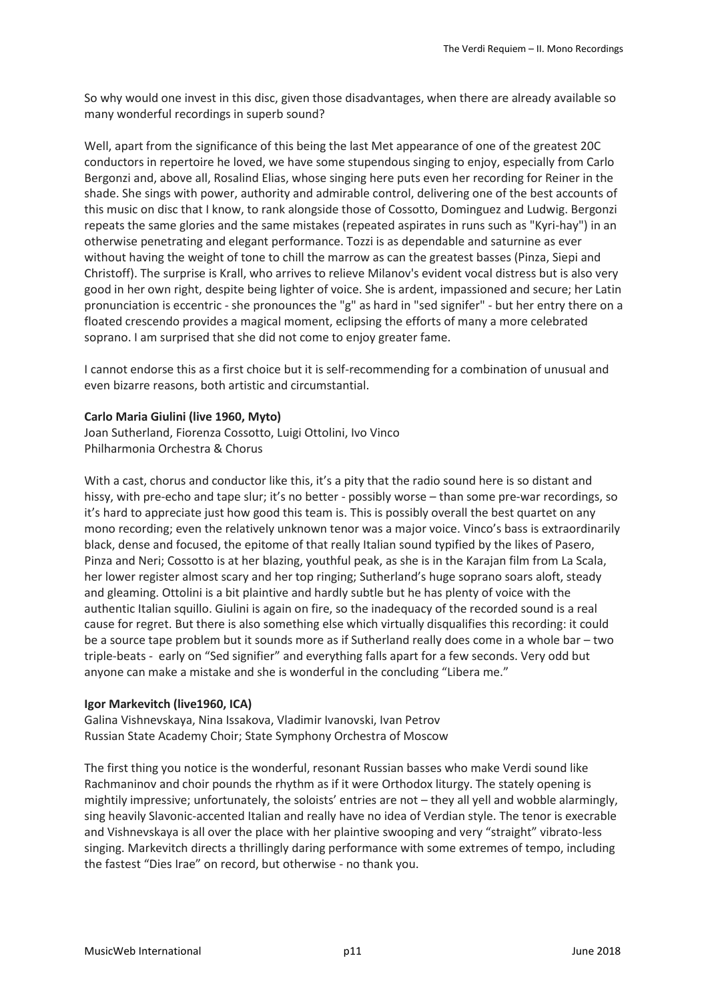So why would one invest in this disc, given those disadvantages, when there are already available so many wonderful recordings in superb sound?

Well, apart from the significance of this being the last Met appearance of one of the greatest 20C conductors in repertoire he loved, we have some stupendous singing to enjoy, especially from Carlo Bergonzi and, above all, Rosalind Elias, whose singing here puts even her recording for Reiner in the shade. She sings with power, authority and admirable control, delivering one of the best accounts of this music on disc that I know, to rank alongside those of Cossotto, Dominguez and Ludwig. Bergonzi repeats the same glories and the same mistakes (repeated aspirates in runs such as "Kyri-hay") in an otherwise penetrating and elegant performance. Tozzi is as dependable and saturnine as ever without having the weight of tone to chill the marrow as can the greatest basses (Pinza, Siepi and Christoff). The surprise is Krall, who arrives to relieve Milanov's evident vocal distress but is also very good in her own right, despite being lighter of voice. She is ardent, impassioned and secure; her Latin pronunciation is eccentric - she pronounces the "g" as hard in "sed signifer" - but her entry there on a floated crescendo provides a magical moment, eclipsing the efforts of many a more celebrated soprano. I am surprised that she did not come to enjoy greater fame.

I cannot endorse this as a first choice but it is self-recommending for a combination of unusual and even bizarre reasons, both artistic and circumstantial.

#### **Carlo Maria Giulini (live 1960, Myto)**

Joan Sutherland, Fiorenza Cossotto, Luigi Ottolini, Ivo Vinco Philharmonia Orchestra & Chorus

With a cast, chorus and conductor like this, it's a pity that the radio sound here is so distant and hissy, with pre-echo and tape slur; it's no better - possibly worse – than some pre-war recordings, so it's hard to appreciate just how good this team is. This is possibly overall the best quartet on any mono recording; even the relatively unknown tenor was a major voice. Vinco's bass is extraordinarily black, dense and focused, the epitome of that really Italian sound typified by the likes of Pasero, Pinza and Neri; Cossotto is at her blazing, youthful peak, as she is in the Karajan film from La Scala, her lower register almost scary and her top ringing; Sutherland's huge soprano soars aloft, steady and gleaming. Ottolini is a bit plaintive and hardly subtle but he has plenty of voice with the authentic Italian squillo. Giulini is again on fire, so the inadequacy of the recorded sound is a real cause for regret. But there is also something else which virtually disqualifies this recording: it could be a source tape problem but it sounds more as if Sutherland really does come in a whole bar – two triple-beats - early on "Sed signifier" and everything falls apart for a few seconds. Very odd but anyone can make a mistake and she is wonderful in the concluding "Libera me."

#### **Igor Markevitch (live1960, ICA)**

Galina Vishnevskaya, Nina Issakova, Vladimir Ivanovski, Ivan Petrov Russian State Academy Choir; State Symphony Orchestra of Moscow

The first thing you notice is the wonderful, resonant Russian basses who make Verdi sound like Rachmaninov and choir pounds the rhythm as if it were Orthodox liturgy. The stately opening is mightily impressive; unfortunately, the soloists' entries are not – they all yell and wobble alarmingly, sing heavily Slavonic-accented Italian and really have no idea of Verdian style. The tenor is execrable and Vishnevskaya is all over the place with her plaintive swooping and very "straight" vibrato-less singing. Markevitch directs a thrillingly daring performance with some extremes of tempo, including the fastest "Dies Irae" on record, but otherwise - no thank you.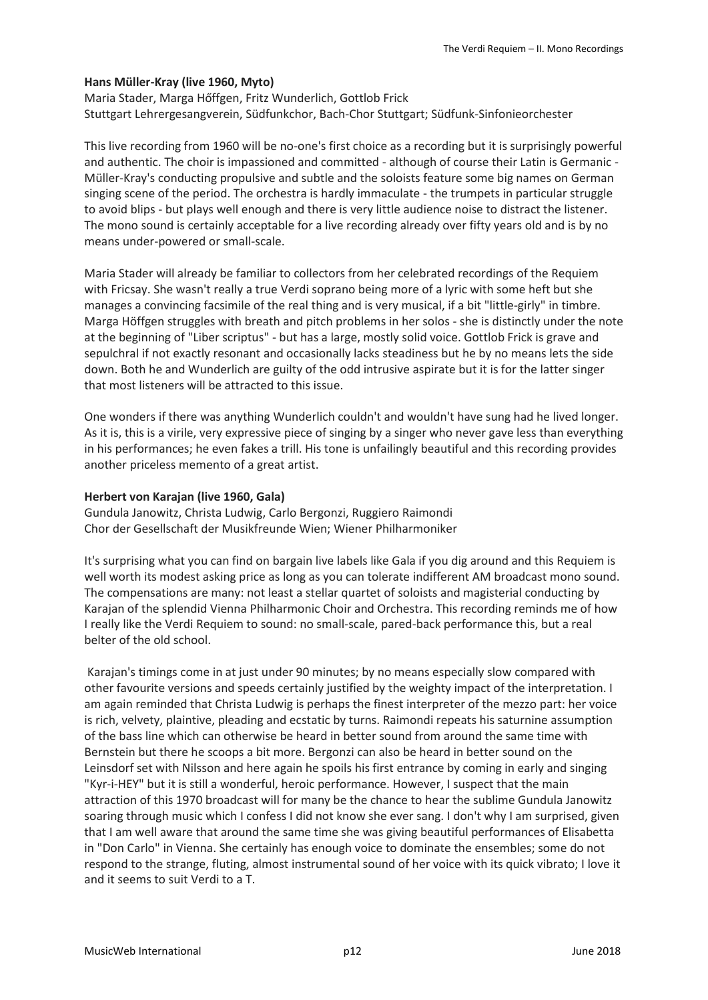## **Hans Müller-Kray (live 1960, Myto)**

Maria Stader, Marga Hőffgen, Fritz Wunderlich, Gottlob Frick Stuttgart Lehrergesangverein, Südfunkchor, Bach-Chor Stuttgart; Südfunk-Sinfonieorchester

This live recording from 1960 will be no-one's first choice as a recording but it is surprisingly powerful and authentic. The choir is impassioned and committed - although of course their Latin is Germanic - Müller-Kray's conducting propulsive and subtle and the soloists feature some big names on German singing scene of the period. The orchestra is hardly immaculate - the trumpets in particular struggle to avoid blips - but plays well enough and there is very little audience noise to distract the listener. The mono sound is certainly acceptable for a live recording already over fifty years old and is by no means under-powered or small-scale.

Maria Stader will already be familiar to collectors from her celebrated recordings of the Requiem with Fricsay. She wasn't really a true Verdi soprano being more of a lyric with some heft but she manages a convincing facsimile of the real thing and is very musical, if a bit "little-girly" in timbre. Marga Höffgen struggles with breath and pitch problems in her solos - she is distinctly under the note at the beginning of "Liber scriptus" - but has a large, mostly solid voice. Gottlob Frick is grave and sepulchral if not exactly resonant and occasionally lacks steadiness but he by no means lets the side down. Both he and Wunderlich are guilty of the odd intrusive aspirate but it is for the latter singer that most listeners will be attracted to this issue.

One wonders if there was anything Wunderlich couldn't and wouldn't have sung had he lived longer. As it is, this is a virile, very expressive piece of singing by a singer who never gave less than everything in his performances; he even fakes a trill. His tone is unfailingly beautiful and this recording provides another priceless memento of a great artist.

## **Herbert von Karajan (live 1960, Gala)**

Gundula Janowitz, Christa Ludwig, Carlo Bergonzi, Ruggiero Raimondi Chor der Gesellschaft der Musikfreunde Wien; Wiener Philharmoniker

It's surprising what you can find on bargain live labels like Gala if you dig around and this Requiem is well worth its modest asking price as long as you can tolerate indifferent AM broadcast mono sound. The compensations are many: not least a stellar quartet of soloists and magisterial conducting by Karajan of the splendid Vienna Philharmonic Choir and Orchestra. This recording reminds me of how I really like the Verdi Requiem to sound: no small-scale, pared-back performance this, but a real belter of the old school.

Karajan's timings come in at just under 90 minutes; by no means especially slow compared with other favourite versions and speeds certainly justified by the weighty impact of the interpretation. I am again reminded that Christa Ludwig is perhaps the finest interpreter of the mezzo part: her voice is rich, velvety, plaintive, pleading and ecstatic by turns. Raimondi repeats his saturnine assumption of the bass line which can otherwise be heard in better sound from around the same time with Bernstein but there he scoops a bit more. Bergonzi can also be heard in better sound on the Leinsdorf set with Nilsson and here again he spoils his first entrance by coming in early and singing "Kyr-i-HEY" but it is still a wonderful, heroic performance. However, I suspect that the main attraction of this 1970 broadcast will for many be the chance to hear the sublime Gundula Janowitz soaring through music which I confess I did not know she ever sang. I don't why I am surprised, given that I am well aware that around the same time she was giving beautiful performances of Elisabetta in "Don Carlo" in Vienna. She certainly has enough voice to dominate the ensembles; some do not respond to the strange, fluting, almost instrumental sound of her voice with its quick vibrato; I love it and it seems to suit Verdi to a T.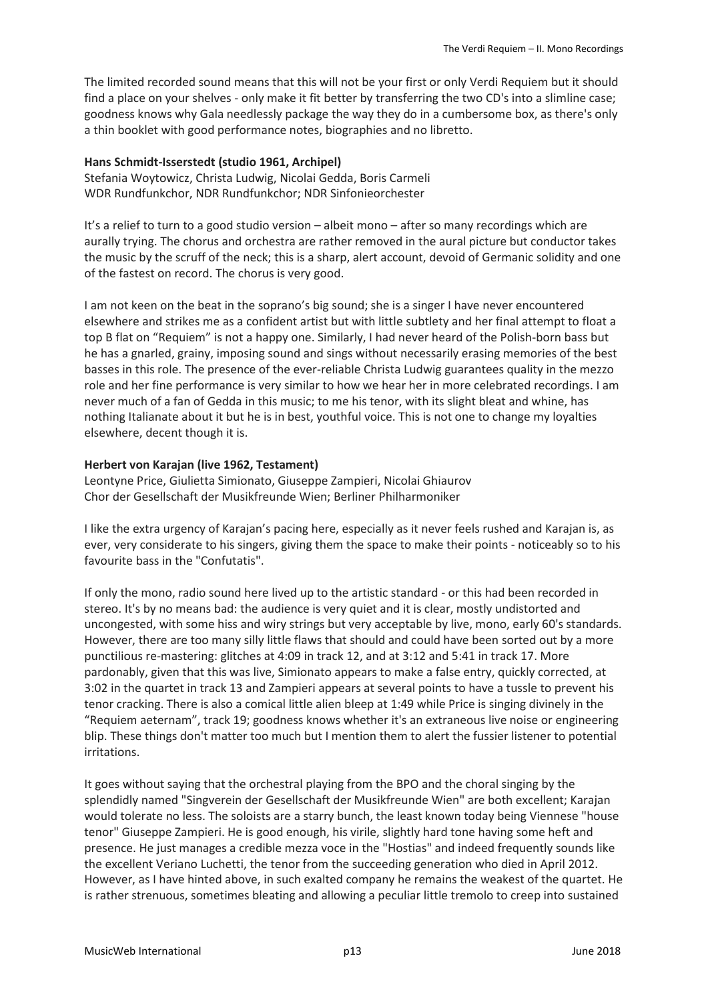The limited recorded sound means that this will not be your first or only Verdi Requiem but it should find a place on your shelves - only make it fit better by transferring the two CD's into a slimline case; goodness knows why Gala needlessly package the way they do in a cumbersome box, as there's only a thin booklet with good performance notes, biographies and no libretto.

## **Hans Schmidt-Isserstedt (studio 1961, Archipel)**

Stefania Woytowicz, Christa Ludwig, Nicolai Gedda, Boris Carmeli WDR Rundfunkchor, NDR Rundfunkchor; NDR Sinfonieorchester

It's a relief to turn to a good studio version – albeit mono – after so many recordings which are aurally trying. The chorus and orchestra are rather removed in the aural picture but conductor takes the music by the scruff of the neck; this is a sharp, alert account, devoid of Germanic solidity and one of the fastest on record. The chorus is very good.

I am not keen on the beat in the soprano's big sound; she is a singer I have never encountered elsewhere and strikes me as a confident artist but with little subtlety and her final attempt to float a top B flat on "Requiem" is not a happy one. Similarly, I had never heard of the Polish-born bass but he has a gnarled, grainy, imposing sound and sings without necessarily erasing memories of the best basses in this role. The presence of the ever-reliable Christa Ludwig guarantees quality in the mezzo role and her fine performance is very similar to how we hear her in more celebrated recordings. I am never much of a fan of Gedda in this music; to me his tenor, with its slight bleat and whine, has nothing Italianate about it but he is in best, youthful voice. This is not one to change my loyalties elsewhere, decent though it is.

#### **Herbert von Karajan (live 1962, Testament)**

Leontyne Price, Giulietta Simionato, Giuseppe Zampieri, Nicolai Ghiaurov Chor der Gesellschaft der Musikfreunde Wien; Berliner Philharmoniker

I like the extra urgency of Karajan's pacing here, especially as it never feels rushed and Karajan is, as ever, very considerate to his singers, giving them the space to make their points - noticeably so to his favourite bass in the "Confutatis".

If only the mono, radio sound here lived up to the artistic standard - or this had been recorded in stereo. It's by no means bad: the audience is very quiet and it is clear, mostly undistorted and uncongested, with some hiss and wiry strings but very acceptable by live, mono, early 60's standards. However, there are too many silly little flaws that should and could have been sorted out by a more punctilious re-mastering: glitches at 4:09 in track 12, and at 3:12 and 5:41 in track 17. More pardonably, given that this was live, Simionato appears to make a false entry, quickly corrected, at 3:02 in the quartet in track 13 and Zampieri appears at several points to have a tussle to prevent his tenor cracking. There is also a comical little alien bleep at 1:49 while Price is singing divinely in the "Requiem aeternam", track 19; goodness knows whether it's an extraneous live noise or engineering blip. These things don't matter too much but I mention them to alert the fussier listener to potential irritations.

It goes without saying that the orchestral playing from the BPO and the choral singing by the splendidly named "Singverein der Gesellschaft der Musikfreunde Wien" are both excellent; Karajan would tolerate no less. The soloists are a starry bunch, the least known today being Viennese "house tenor" Giuseppe Zampieri. He is good enough, his virile, slightly hard tone having some heft and presence. He just manages a credible mezza voce in the "Hostias" and indeed frequently sounds like the excellent Veriano Luchetti, the tenor from the succeeding generation who died in April 2012. However, as I have hinted above, in such exalted company he remains the weakest of the quartet. He is rather strenuous, sometimes bleating and allowing a peculiar little tremolo to creep into sustained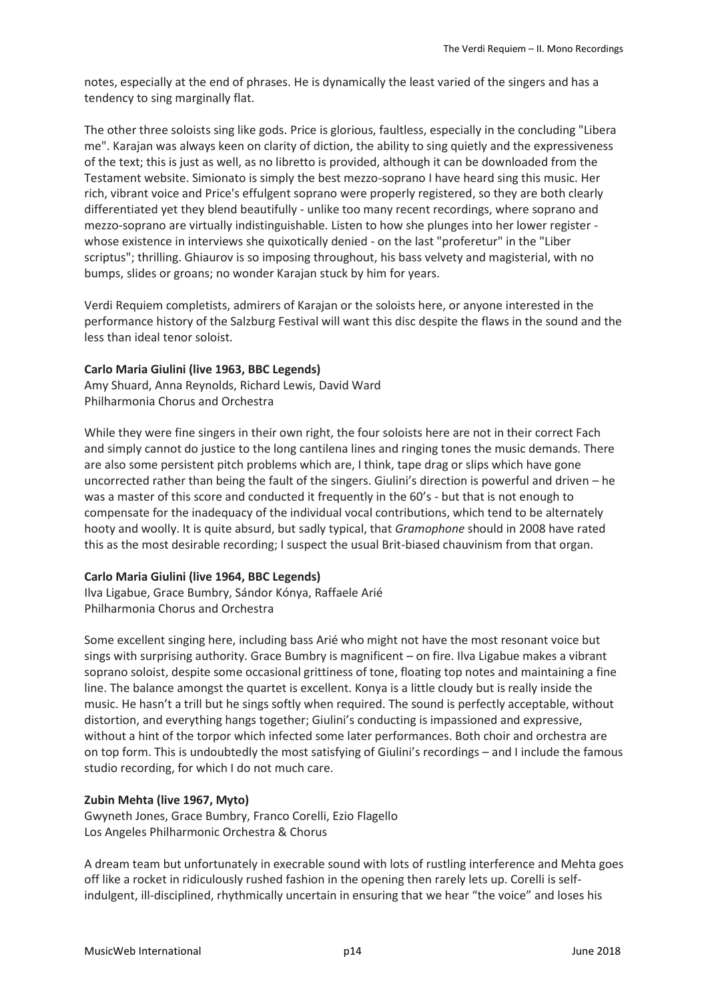notes, especially at the end of phrases. He is dynamically the least varied of the singers and has a tendency to sing marginally flat.

The other three soloists sing like gods. Price is glorious, faultless, especially in the concluding "Libera me". Karajan was always keen on clarity of diction, the ability to sing quietly and the expressiveness of the text; this is just as well, as no libretto is provided, although it can be downloaded from the Testament website. Simionato is simply the best mezzo-soprano I have heard sing this music. Her rich, vibrant voice and Price's effulgent soprano were properly registered, so they are both clearly differentiated yet they blend beautifully - unlike too many recent recordings, where soprano and mezzo-soprano are virtually indistinguishable. Listen to how she plunges into her lower register whose existence in interviews she quixotically denied - on the last "proferetur" in the "Liber scriptus"; thrilling. Ghiaurov is so imposing throughout, his bass velvety and magisterial, with no bumps, slides or groans; no wonder Karajan stuck by him for years.

Verdi Requiem completists, admirers of Karajan or the soloists here, or anyone interested in the performance history of the Salzburg Festival will want this disc despite the flaws in the sound and the less than ideal tenor soloist.

## **Carlo Maria Giulini (live 1963, BBC Legends)**

Amy Shuard, Anna Reynolds, Richard Lewis, David Ward Philharmonia Chorus and Orchestra

While they were fine singers in their own right, the four soloists here are not in their correct Fach and simply cannot do justice to the long cantilena lines and ringing tones the music demands. There are also some persistent pitch problems which are, I think, tape drag or slips which have gone uncorrected rather than being the fault of the singers. Giulini's direction is powerful and driven – he was a master of this score and conducted it frequently in the 60's - but that is not enough to compensate for the inadequacy of the individual vocal contributions, which tend to be alternately hooty and woolly. It is quite absurd, but sadly typical, that *Gramophone* should in 2008 have rated this as the most desirable recording; I suspect the usual Brit-biased chauvinism from that organ.

# **Carlo Maria Giulini (live 1964, BBC Legends)**

Ilva Ligabue, Grace Bumbry, Sándor Kónya, Raffaele Arié Philharmonia Chorus and Orchestra

Some excellent singing here, including bass Arié who might not have the most resonant voice but sings with surprising authority. Grace Bumbry is magnificent – on fire. Ilva Ligabue makes a vibrant soprano soloist, despite some occasional grittiness of tone, floating top notes and maintaining a fine line. The balance amongst the quartet is excellent. Konya is a little cloudy but is really inside the music. He hasn't a trill but he sings softly when required. The sound is perfectly acceptable, without distortion, and everything hangs together; Giulini's conducting is impassioned and expressive, without a hint of the torpor which infected some later performances. Both choir and orchestra are on top form. This is undoubtedly the most satisfying of Giulini's recordings – and I include the famous studio recording, for which I do not much care.

# **Zubin Mehta (live 1967, Myto)**

Gwyneth Jones, Grace Bumbry, Franco Corelli, Ezio Flagello Los Angeles Philharmonic Orchestra & Chorus

A dream team but unfortunately in execrable sound with lots of rustling interference and Mehta goes off like a rocket in ridiculously rushed fashion in the opening then rarely lets up. Corelli is selfindulgent, ill-disciplined, rhythmically uncertain in ensuring that we hear "the voice" and loses his